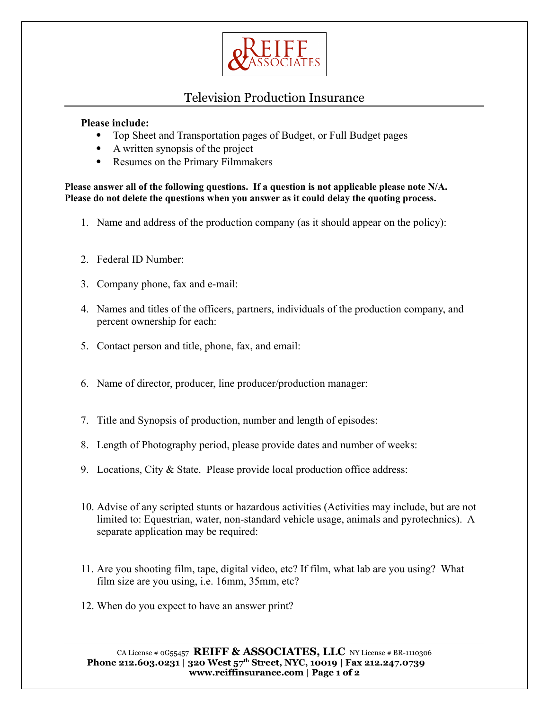

## Television Production Insurance

## **Please include:**

- Top Sheet and Transportation pages of Budget, or Full Budget pages
- A written synopsis of the project
- Resumes on the Primary Filmmakers

**Please answer all of the following questions. If a question is not applicable please note N/A. Please do not delete the questions when you answer as it could delay the quoting process.**

- 1. Name and address of the production company (as it should appear on the policy):
- 2. Federal ID Number:
- 3. Company phone, fax and e-mail:
- 4. Names and titles of the officers, partners, individuals of the production company, and percent ownership for each:
- 5. Contact person and title, phone, fax, and email:
- 6. Name of director, producer, line producer/production manager:
- 7. Title and Synopsis of production, number and length of episodes:
- 8. Length of Photography period, please provide dates and number of weeks:
- 9. Locations, City & State. Please provide local production office address:
- 10. Advise of any scripted stunts or hazardous activities (Activities may include, but are not limited to: Equestrian, water, non-standard vehicle usage, animals and pyrotechnics). A separate application may be required:
- 11. Are you shooting film, tape, digital video, etc? If film, what lab are you using? What film size are you using, i.e. 16mm, 35mm, etc?
- 12. When do you expect to have an answer print?